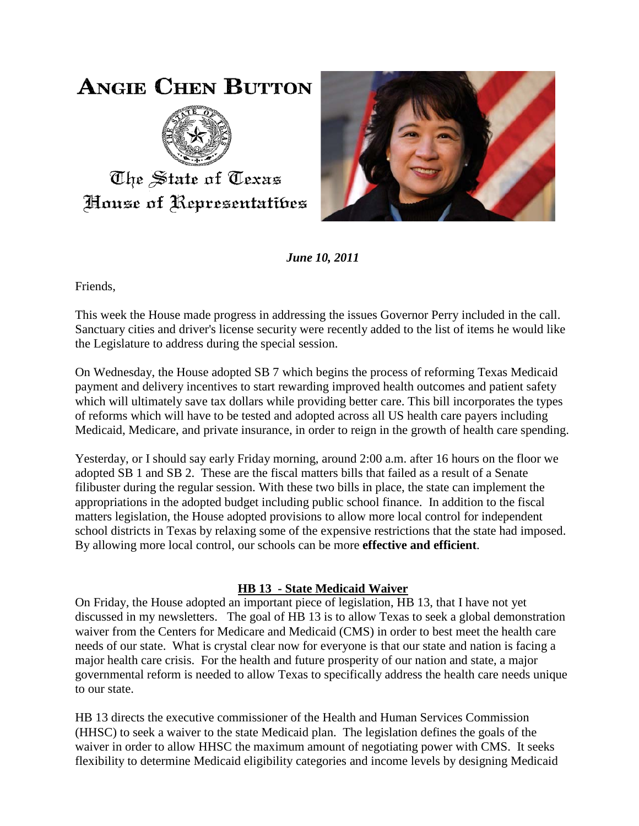## **ANGIE CHEN BUTTON**



The State of Texas House of Representatibes



*June 10, 2011*

Friends,

This week the House made progress in addressing the issues Governor Perry included in the call. Sanctuary cities and driver's license security were recently added to the list of items he would like the Legislature to address during the special session.

On Wednesday, the House adopted SB 7 which begins the process of reforming Texas Medicaid payment and delivery incentives to start rewarding improved health outcomes and patient safety which will ultimately save tax dollars while providing better care. This bill incorporates the types of reforms which will have to be tested and adopted across all US health care payers including Medicaid, Medicare, and private insurance, in order to reign in the growth of health care spending.

Yesterday, or I should say early Friday morning, around 2:00 a.m. after 16 hours on the floor we adopted SB 1 and SB 2. These are the fiscal matters bills that failed as a result of a Senate filibuster during the regular session. With these two bills in place, the state can implement the appropriations in the adopted budget including public school finance. In addition to the fiscal matters legislation, the House adopted provisions to allow more local control for independent school districts in Texas by relaxing some of the expensive restrictions that the state had imposed. By allowing more local control, our schools can be more **effective and efficient**.

## **HB 13 - State Medicaid Waiver**

On Friday, the House adopted an important piece of legislation, HB 13, that I have not yet discussed in my newsletters. The goal of HB 13 is to allow Texas to seek a global demonstration waiver from the Centers for Medicare and Medicaid (CMS) in order to best meet the health care needs of our state. What is crystal clear now for everyone is that our state and nation is facing a major health care crisis. For the health and future prosperity of our nation and state, a major governmental reform is needed to allow Texas to specifically address the health care needs unique to our state.

HB 13 directs the executive commissioner of the Health and Human Services Commission (HHSC) to seek a waiver to the state Medicaid plan. The legislation defines the goals of the waiver in order to allow HHSC the maximum amount of negotiating power with CMS. It seeks flexibility to determine Medicaid eligibility categories and income levels by designing Medicaid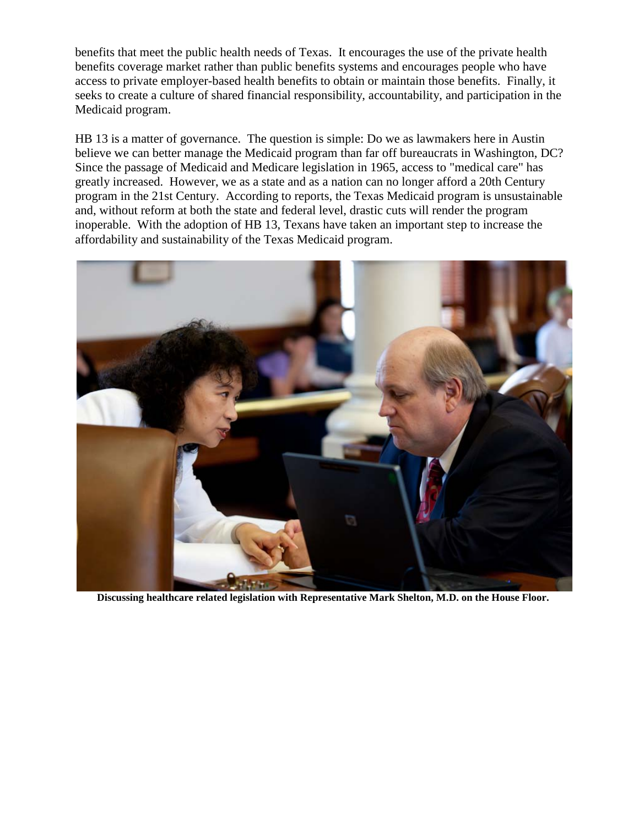benefits that meet the public health needs of Texas. It encourages the use of the private health benefits coverage market rather than public benefits systems and encourages people who have access to private employer-based health benefits to obtain or maintain those benefits. Finally, it seeks to create a culture of shared financial responsibility, accountability, and participation in the Medicaid program.

HB 13 is a matter of governance. The question is simple: Do we as lawmakers here in Austin believe we can better manage the Medicaid program than far off bureaucrats in Washington, DC? Since the passage of Medicaid and Medicare legislation in 1965, access to "medical care" has greatly increased. However, we as a state and as a nation can no longer afford a 20th Century program in the 21st Century. According to reports, the Texas Medicaid program is unsustainable and, without reform at both the state and federal level, drastic cuts will render the program inoperable. With the adoption of HB 13, Texans have taken an important step to increase the affordability and sustainability of the Texas Medicaid program.



**Discussing healthcare related legislation with Representative Mark Shelton, M.D. on the House Floor.**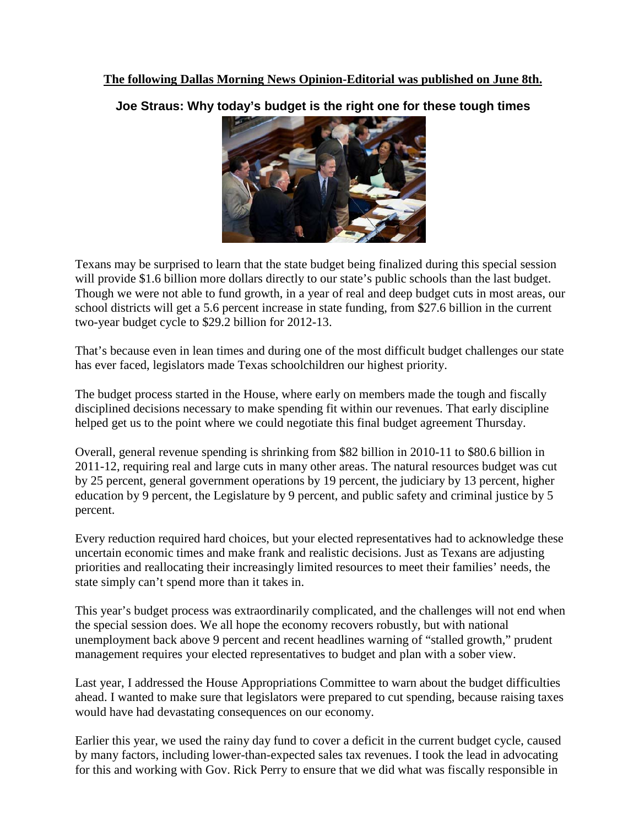**The following Dallas Morning News Opinion-Editorial was published on June 8th.**

**Joe Straus: Why today's budget is the right one for these tough times**



Texans may be surprised to learn that the state budget being finalized during this special session will provide \$1.6 billion more dollars directly to our state's public schools than the last budget. Though we were not able to fund growth, in a year of real and deep budget cuts in most areas, our school districts will get a 5.6 percent increase in state funding, from \$27.6 billion in the current two-year budget cycle to \$29.2 billion for 2012-13.

That's because even in lean times and during one of the most difficult budget challenges our state has ever faced, legislators made Texas schoolchildren our highest priority.

The budget process started in the House, where early on members made the tough and fiscally disciplined decisions necessary to make spending fit within our revenues. That early discipline helped get us to the point where we could negotiate this final budget agreement Thursday.

Overall, general revenue spending is shrinking from \$82 billion in 2010-11 to \$80.6 billion in 2011-12, requiring real and large cuts in many other areas. The natural resources budget was cut by 25 percent, general government operations by 19 percent, the judiciary by 13 percent, higher education by 9 percent, the Legislature by 9 percent, and public safety and criminal justice by 5 percent.

Every reduction required hard choices, but your elected representatives had to acknowledge these uncertain economic times and make frank and realistic decisions. Just as Texans are adjusting priorities and reallocating their increasingly limited resources to meet their families' needs, the state simply can't spend more than it takes in.

This year's budget process was extraordinarily complicated, and the challenges will not end when the special session does. We all hope the economy recovers robustly, but with national unemployment back above 9 percent and recent headlines warning of "stalled growth," prudent management requires your elected representatives to budget and plan with a sober view.

Last year, I addressed the House Appropriations Committee to warn about the budget difficulties ahead. I wanted to make sure that legislators were prepared to cut spending, because raising taxes would have had devastating consequences on our economy.

Earlier this year, we used the rainy day fund to cover a deficit in the current budget cycle, caused by many factors, including lower-than-expected sales tax revenues. I took the lead in advocating for this and working with Gov. Rick Perry to ensure that we did what was fiscally responsible in